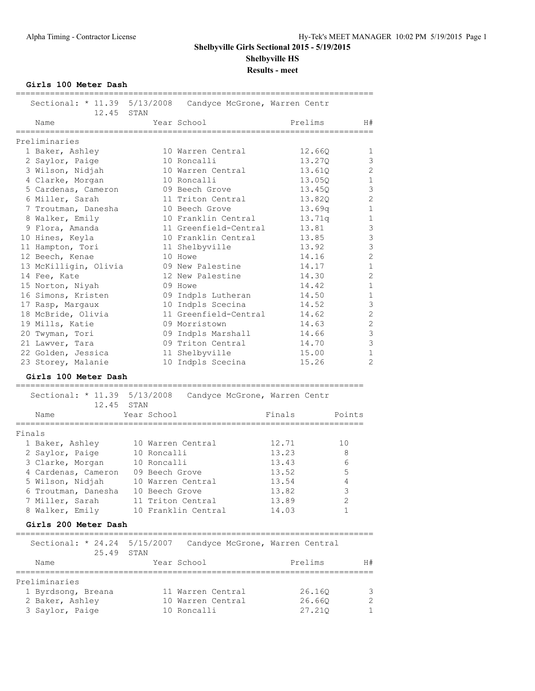**Girls 100 Meter Dash**

| Sectional: * 11.39 5/13/2008<br>12.45 STAN |                | Candyce McGrone, Warren Centr |         |                |
|--------------------------------------------|----------------|-------------------------------|---------|----------------|
| Name                                       |                | Year School                   | Prelims | H#             |
| Preliminaries                              |                |                               |         |                |
| 1 Baker, Ashley                            |                | 10 Warren Central             | 12.66Q  | 1              |
| 2 Saylor, Paige                            |                | 10 Roncalli                   | 13.27Q  | 3              |
| 3 Wilson, Nidjah                           |                | 10 Warren Central             | 13.61Q  | $\overline{c}$ |
| 4 Clarke, Morgan                           |                | 10 Roncalli                   | 13.05Q  | $\mathbf{1}$   |
| 5 Cardenas, Cameron                        |                | 09 Beech Grove                | 13.450  | 3              |
| 6 Miller, Sarah                            |                | 11 Triton Central             | 13.82Q  | $\overline{c}$ |
| 7 Troutman, Danesha                        |                | 10 Beech Grove                | 13.69q  | $\mathbf{1}$   |
| 8 Walker, Emily                            |                | 10 Franklin Central           | 13.71q  | $1\,$          |
| 9 Flora, Amanda                            |                | 11 Greenfield-Central         | 13.81   | 3              |
| 10 Hines, Keyla                            |                | 10 Franklin Central           | 13.85   | 3              |
| 11 Hampton, Tori                           |                | 11 Shelbyville                | 13.92   | $\overline{3}$ |
| 12 Beech, Kenae                            |                | 10 Howe                       | 14.16   | $\overline{c}$ |
| 13 McKilligin, Olivia                      |                | 09 New Palestine              | 14.17   | $\mathbf{1}$   |
| 14 Fee, Kate                               |                | 12 New Palestine              | 14.30   | $\overline{c}$ |
| 15 Norton, Niyah                           |                | 09 Howe                       | 14.42   | $\mathbf{1}$   |
| 16 Simons, Kristen                         |                | 09 Indpls Lutheran            | 14.50   | $\mathbf 1$    |
| 17 Rasp, Margaux                           |                | 10 Indpls Scecina             | 14.52   | 3              |
| 18 McBride, Olivia                         |                | 11 Greenfield-Central         | 14.62   | $\overline{2}$ |
| 19 Mills, Katie                            |                | 09 Morristown                 | 14.63   | $\overline{c}$ |
| 20 Twyman, Tori                            |                | 09 Indpls Marshall            | 14.66   | 3              |
| 21 Lawver, Tara                            |                | 09 Triton Central             | 14.70   | 3              |
| 22 Golden, Jessica                         |                | 11 Shelbyville                | 15.00   | $\mathbf{1}$   |
| 23 Storey, Malanie                         |                | 10 Indpls Scecina             | 15.26   | $\overline{2}$ |
| Girls 100 Meter Dash                       |                |                               |         |                |
| Sectional: * 11.39 5/13/2008               |                | Candyce McGrone, Warren Centr |         |                |
| 12.45                                      | STAN           |                               |         |                |
| Name                                       | Year School    |                               | Finals  | Points         |
| _______________                            | -------------  |                               |         |                |
| Finals                                     |                |                               |         |                |
| 1 Baker, Ashley                            |                | 10 Warren Central             | 12.71   | 10             |
| 2 Saylor, Paige                            | 10 Roncalli    |                               | 13.23   | 8              |
| 3 Clarke, Morgan                           | 10 Roncalli    |                               | 13.43   | 6              |
| 4 Cardenas, Cameron                        | 09 Beech Grove |                               | 13.52   | 5              |
| 5 Wilson, Nidjah                           |                | 10 Warren Central             | 13.54   | 4              |
| 6 Troutman, Danesha                        | 10 Beech Grove |                               | 13.82   | 3              |

#### **Girls 200 Meter Dash**

| Sectional: * 24.24 5/15/2007 | Candyce McGrone, Warren Central |         |    |
|------------------------------|---------------------------------|---------|----|
| 25.49 STAN                   |                                 |         |    |
| Name                         | Year School                     | Prelims | H# |
|                              |                                 |         |    |
| Preliminaries                |                                 |         |    |
| 1 Byrdsong, Breana           | 11 Warren Central               | 26.160  |    |
| 2 Baker, Ashley              | 10 Warren Central               | 26.660  | ⌒  |
| 3 Saylor, Paige              | 10 Roncalli                     | 27.210  |    |

7 Miller, Sarah 11 Triton Central 13.89 2 8 Walker, Emily 10 Franklin Central 14.03 1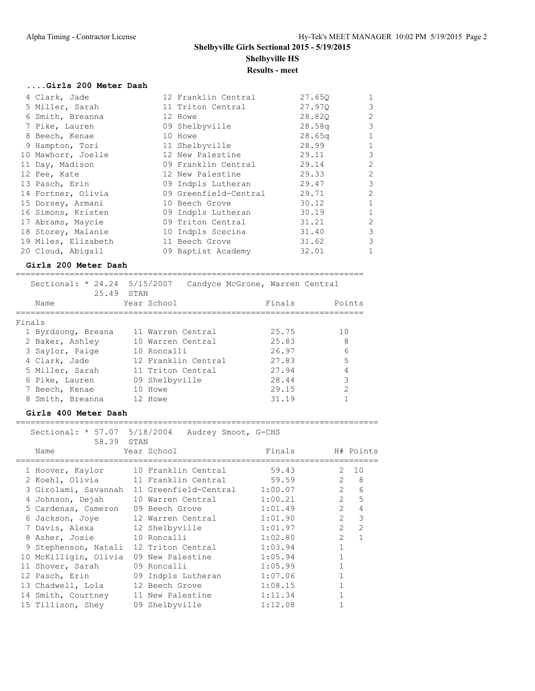| 12 Franklin Central | 27.650             | 1                                           |
|---------------------|--------------------|---------------------------------------------|
| 11 Triton Central   | 27.970             | $\overline{3}$                              |
| 12 Howe             | 28.820             | $\overline{c}$                              |
| 09 Shelbyville      | 28.58q             | $\overline{3}$                              |
| 10 Howe             | 28.65 <sub>q</sub> | $\mathbf{1}$                                |
| 11 Shelbyville      | 28.99              | $\mathbf{1}$                                |
| 12 New Palestine    | 29.11              | $\mathcal{S}$                               |
| 09 Franklin Central | 29.14              | $\overline{c}$                              |
| 12 New Palestine    | 29.33              | $\overline{c}$                              |
|                     | 29.47              | $\mathcal{S}$                               |
|                     | 29.71              | $\overline{c}$                              |
| 10 Beech Grove      | 30.12              | $\mathbf{1}$                                |
| 09 Indpls Lutheran  | 30.19              | $\mathbf{1}$                                |
| 09 Triton Central   | 31.21              | $\overline{c}$                              |
| 10 Indpls Scecina   | 31.40              | $\mathcal{E}$                               |
| 11 Beech Grove      | 31.62              | $\overline{3}$                              |
| 09 Baptist Academy  | 32.01              | 1                                           |
|                     |                    | 09 Indpls Lutheran<br>09 Greenfield-Central |

#### **Girls 200 Meter Dash**

======================================================================= Sectional: \* 24.24 5/15/2007 Candyce McGrone, Warren Central

|                    | 25.49 STAN          |        |        |
|--------------------|---------------------|--------|--------|
| Name               | Year School         | Finals | Points |
| Finals             |                     |        |        |
| 1 Byrdsong, Breana | 11 Warren Central   | 25.75  | 10     |
| 2 Baker, Ashley    | 10 Warren Central   | 25.83  | 8      |
| 3 Saylor, Paige    | 10 Roncalli         | 26.97  | 6      |
| 4 Clark, Jade      | 12 Franklin Central | 27.83  | 5      |
| 5 Miller, Sarah    | 11 Triton Central   | 27.94  | 4      |
| 6 Pike, Lauren     | 09 Shelbyville      | 28.44  | 3      |
| 7 Beech, Kenae     | 10 Howe             | 29.15  | 2      |
| 8 Smith, Breanna   | 12 Howe             | 31.19  |        |

==========================================================================

#### **Girls 400 Meter Dash**

|                                   | Sectional: * 57.07 5/18/2004 Audrey Smoot, G-CHS |         |                                  |
|-----------------------------------|--------------------------------------------------|---------|----------------------------------|
| 58.39 STAN                        |                                                  |         |                                  |
| Name                              | Year School                                      | Finals  | H# Points                        |
|                                   |                                                  |         |                                  |
| 1 Hoover, Kaylor                  | 10 Franklin Central                              | 59.43   | 2, 10                            |
|                                   | 2 Koehl, Olivia 11 Franklin Central              | 59.59   | $\overline{2}$<br>8              |
| 3 Girolami, Savannah              | 11 Greenfield-Central 1:00.07                    |         | $\overline{2}$<br>6              |
| 4 Johnson, Dejah                  | 10 Warren Central                                | 1:00.21 | $\overline{2}$<br>5              |
| 5 Cardenas, Cameron               | 09 Beech Grove                                   | 1:01.49 | $\overline{2}$<br>$\overline{4}$ |
| 6 Jackson, Joye                   | 12 Warren Central                                | 1:01.90 | $\overline{2}$<br>3              |
| 7 Davis, Alexa                    | 12 Shelbyville                                   | 1:01.97 | $\overline{2}$<br>$\overline{2}$ |
| 8 Asher, Josie 10 Roncalli        |                                                  | 1:02.80 | $\overline{2}$<br>$\mathbf{1}$   |
| 9 Stephenson, Natali              | 12 Triton Central                                | 1:03.94 | $\mathbf{1}$                     |
| 10 McKilligin, Olivia             | 09 New Palestine                                 | 1:05.94 | 1                                |
| 11 Shover, Sarah                  | 09 Roncalli                                      | 1:05.99 |                                  |
| 12 Pasch, Erin 69 Indpls Lutheran |                                                  | 1:07.06 |                                  |
| 13 Chadwell, Lola                 | 12 Beech Grove                                   | 1:08.15 |                                  |
| 14 Smith, Courtney                | 11 New Palestine                                 | 1:11.34 |                                  |
| 15 Tillison, Shey                 | 09 Shelbyville                                   | 1:12.08 |                                  |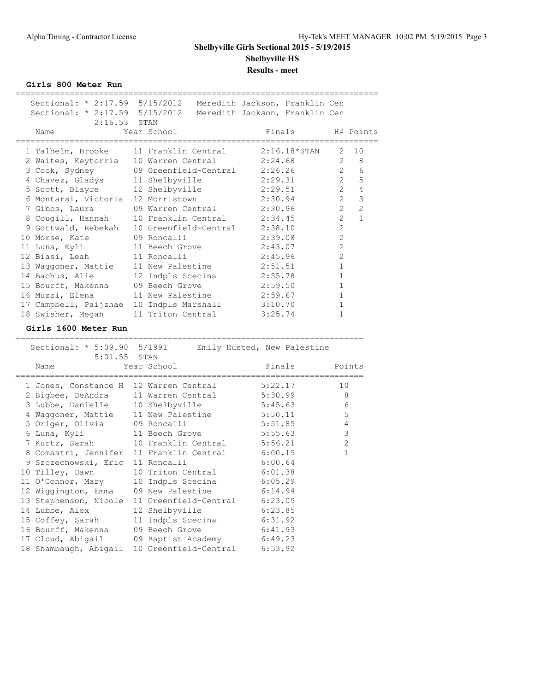**Girls 800 Meter Run**

|  | Sectional: * 2:17.59 5/15/2012 Meredith Jackson, Franklin Cen<br>Sectional: * 2:17.59 5/15/2012 Meredith Jackson, Franklin Cen<br>$2:16.53$ STAN |                                              |                                               |                                  |                                |
|--|--------------------------------------------------------------------------------------------------------------------------------------------------|----------------------------------------------|-----------------------------------------------|----------------------------------|--------------------------------|
|  | Name<br>_________________________________                                                                                                        | Year School                                  | Finals<br>___________________________________ |                                  | H# Points                      |
|  | 1 Talhelm, Brooke                                                                                                                                | 11 Franklin Central                          | $2:16.18*STAN$                                | 2                                | 10                             |
|  | 2 Waites, Keytorria                                                                                                                              | 10 Warren Central                            | 2:24.68                                       | 2                                | 8                              |
|  | 3 Cook, Sydney                                                                                                                                   | 09 Greenfield-Central 2:26.26                |                                               | 2                                | 6                              |
|  | 4 Chavez, Gladys                                                                                                                                 | 11 Shelbyville                               | 2:29.31                                       | $\overline{2}$                   | 5                              |
|  | 5 Scott, Blayre                                                                                                                                  | 12 Shelbyville                               | 2:29.51                                       | $\overline{2}$                   | $\overline{4}$                 |
|  | 6 Montarsi, Victoria                                                                                                                             | 12 Morristown                                | 2:30.94                                       | $\overline{2}$                   | $\mathcal{S}$                  |
|  | 7 Gibbs, Laura                                                                                                                                   | 09 Warren Central                            | 2:30.96                                       | $\overline{2}$<br>$\overline{2}$ | $\overline{2}$<br>$\mathbf{1}$ |
|  | 8 Cougill, Hannah                                                                                                                                | 10 Franklin Central<br>10 Greenfield-Central | 2:34.45                                       | 2                                |                                |
|  | 9 Gottwald, Rebekah                                                                                                                              | 09 Roncalli                                  | 2:38.10<br>2:39.08                            | $\overline{2}$                   |                                |
|  | 10 Morse, Kate<br>11 Luna, Kyli                                                                                                                  | 11 Beech Grove                               | 2:43.07                                       | 2                                |                                |
|  | 12 Biasi, Leah                                                                                                                                   | 11 Roncalli                                  | 2:45.96                                       | 2                                |                                |
|  | 13 Waggoner, Mattie                                                                                                                              | 11 New Palestine                             | 2:51.51                                       | $\mathbf 1$                      |                                |
|  | 14 Bachus, Alie                                                                                                                                  | 12 Indpls Scecina                            | 2:55.78                                       | $\mathbf{1}$                     |                                |
|  | 15 Bourff, Makenna                                                                                                                               | 09 Beech Grove                               | 2:59.50                                       | 1                                |                                |
|  | 16 Muzzi, Elena                                                                                                                                  | 11 New Palestine                             | 2:59.67                                       | $\mathbf{1}$                     |                                |
|  | 17 Campbell, Paijzhae                                                                                                                            | 10 Indpls Marshall                           | 3:10.70                                       | $\mathbf{1}$                     |                                |
|  | 18 Swisher, Megan                                                                                                                                | 11 Triton Central                            | 3:25.74                                       | $\mathbf{1}$                     |                                |
|  | Girls 1600 Meter Run                                                                                                                             |                                              |                                               |                                  |                                |
|  | ==================                                                                                                                               |                                              |                                               |                                  |                                |
|  | Sectional: * 5:09.90 5/1991<br>5:01.55                                                                                                           | STAN                                         | Emily Husted, New Palestine                   |                                  |                                |
|  | Name                                                                                                                                             | Year School                                  | Finals                                        |                                  | Points                         |
|  |                                                                                                                                                  |                                              |                                               |                                  |                                |
|  | 1 Jones, Constance H                                                                                                                             | 12 Warren Central                            | 5:22.17                                       | 10                               |                                |
|  | 2 Bigbee, DeAndra                                                                                                                                | 11 Warren Central                            | 5:30.99                                       |                                  | 8                              |
|  | 3 Lubbe, Danielle                                                                                                                                | 10 Shelbyville                               | 5:45.63                                       |                                  | 6                              |
|  | 4 Waggoner, Mattie                                                                                                                               | 11 New Palestine                             | 5:50.11                                       |                                  | 5                              |
|  | 5 Origer, Olivia                                                                                                                                 | 09 Roncalli                                  | 5:51.85                                       |                                  | 4                              |
|  | 6 Luna, Kyli                                                                                                                                     | 11 Beech Grove                               | 5:55.63                                       |                                  | 3                              |
|  | 7 Kurtz, Sarah                                                                                                                                   | 10 Franklin Central                          | 5:56.21                                       |                                  | $\mathbf{2}$                   |
|  | 8 Comastri, Jennifer                                                                                                                             | 11 Franklin Central                          | 6:00.19                                       |                                  | 1                              |
|  | 9 Szczechowski, Eric                                                                                                                             | 11 Roncalli<br>10 Triton Central             | 6:00.64                                       |                                  |                                |
|  | 10 Tilley, Dawn                                                                                                                                  |                                              | 6:01.38                                       |                                  |                                |
|  | 11 O'Connor, Mary                                                                                                                                | 10 Indpls Scecina                            | 6:05.29                                       |                                  |                                |
|  | 12 Wiggington, Emma                                                                                                                              | 09 New Palestine<br>11 Greenfield-Central    | 6:14.94                                       |                                  |                                |
|  | 13 Stephenson, Nicole                                                                                                                            |                                              | 6:23.09                                       |                                  |                                |
|  | 14 Lubbe, Alex                                                                                                                                   | 12 Shelbyville                               | 6:23.85                                       |                                  |                                |
|  | 15 Coffey, Sarah<br>16 Bourff, Makenna                                                                                                           | 11 Indpls Scecina<br>09 Beech Grove          | 6:31.92                                       |                                  |                                |
|  | 17 Cloud, Abigail                                                                                                                                | 09 Baptist Academy                           | 6:41.93<br>6:49.23                            |                                  |                                |
|  | 18 Shambaugh, Abigail                                                                                                                            | 10 Greenfield-Central                        | 6:53.92                                       |                                  |                                |
|  |                                                                                                                                                  |                                              |                                               |                                  |                                |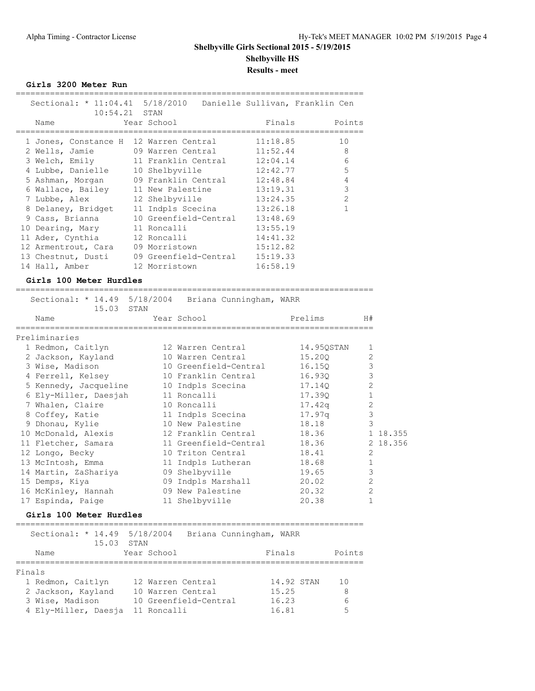**Girls 3200 Meter Run**

| Sectional: * 11:04.41 5/18/2010 Danielle Sullivan, Franklin Cen |
|-----------------------------------------------------------------|
| Finals Points                                                   |
| 11:18.85<br>10<br>12 Warren Central                             |
| 8<br>2 Wells, Jamie 69 Warren Central 11:52.44                  |
| 6<br>3 Welch, Emily 11 Franklin Central 12:04.14                |
| 5<br>12:42.77<br>10 Shelbyville                                 |
| 12:48.84<br>4<br>5 Ashman, Morgan (19) Franklin Central         |
| 3<br>13:19.31<br>6 Wallace, Bailey 11 New Palestine             |
| $\mathcal{P}$<br>13:24.35<br>12 Shelbyville                     |
| 1<br>11 Indpls Scecina 13:26.18                                 |
| 13:48.69<br>10 Greenfield-Central                               |
| 13:55.19                                                        |
| 14:41.32                                                        |
| 15:12.82                                                        |
| 15:19.33<br>09 Greenfield-Central                               |
| 16:58.19                                                        |
|                                                                 |

#### **Girls 100 Meter Hurdles**

========================================================================= Sectional: \* 14.49 5/18/2004 Briana Cunningham, WARR

| 15.03 STAN            | Sectional: * 14.49 5/18/2004 Briana Cunningham, WARR |            |                |          |
|-----------------------|------------------------------------------------------|------------|----------------|----------|
| Name                  | Year School                                          | Prelims    | H#             |          |
| Preliminaries         |                                                      |            |                |          |
| 1 Redmon, Caitlyn     | 12 Warren Central                                    | 14.950STAN | $\mathbf{1}$   |          |
| 2 Jackson, Kayland    | 10 Warren Central                                    | 15.200     | $\overline{2}$ |          |
| 3 Wise, Madison       | 10 Greenfield-Central                                | 16.15Q     | $\mathcal{S}$  |          |
| 4 Ferrell, Kelsey     | 10 Franklin Central                                  | 16.930     | 3              |          |
| 5 Kennedy, Jacqueline | 10 Indpls Scecina                                    | 17.14Q     | $\overline{2}$ |          |
| 6 Ely-Miller, Daesjah | 11 Roncalli                                          | 17.390     | $\mathbf{1}$   |          |
| 7 Whalen, Claire      | 10 Roncalli                                          | 17.42a     | $\overline{2}$ |          |
| 8 Coffey, Katie       | 11 Indpls Scecina                                    | 17.97q     | 3              |          |
| 9 Dhonau, Kylie       | 10 New Palestine                                     | 18.18      | 3              |          |
| 10 McDonald, Alexis   | 12 Franklin Central                                  | 18.36      |                | 1 18.355 |
| 11 Fletcher, Samara   | 11 Greenfield-Central                                | 18.36      |                | 2 18.356 |
| 12 Longo, Becky       | 10 Triton Central                                    | 18.41      | $\overline{2}$ |          |
| 13 McIntosh, Emma     | 11 Indpls Lutheran                                   | 18.68      | $\mathbf{1}$   |          |
| 14 Martin, ZaShariya  | 09 Shelbyville                                       | 19.65      | 3              |          |
| 15 Demps, Kiya        | 09 Indpls Marshall                                   | 20.02      | $\mathfrak{D}$ |          |
| 16 McKinley, Hannah   | 09 New Palestine                                     | 20.32      | $\mathfrak{D}$ |          |
| 17 Espinda, Paige     | 11 Shelbyville                                       | 20.38      |                |          |
|                       |                                                      |            |                |          |

#### **Girls 100 Meter Hurdles**

| Sectional: * 14.49 5/18/2004<br>15.03 STAN |                       | Briana Cunningham, WARR |        |
|--------------------------------------------|-----------------------|-------------------------|--------|
| Name                                       | Year School           | Finals                  | Points |
| Finals                                     |                       |                         |        |
| 1 Redmon, Caitlyn                          | 12 Warren Central     | 14.92 STAN              | 10     |
| 2 Jackson, Kayland                         | 10 Warren Central     | 15.25                   | 8      |
| 3 Wise, Madison                            | 10 Greenfield-Central | 16.23                   | 6      |
| 4 Ely-Miller, Daesja                       | 11 Roncalli           | 16.81                   | 5      |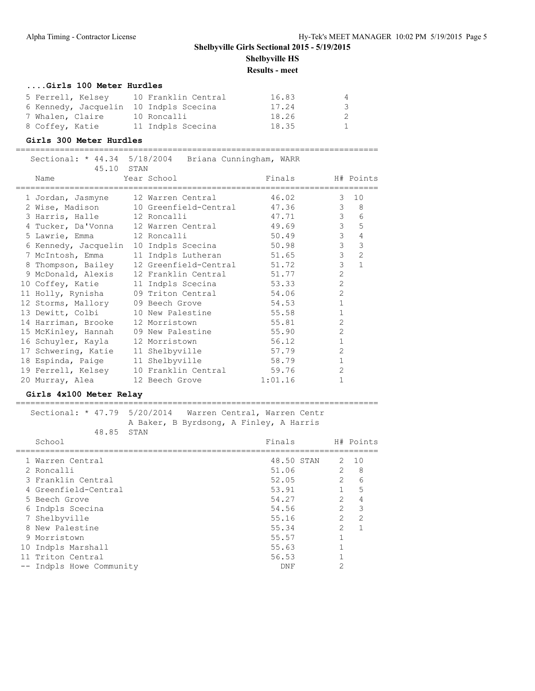#### **....Girls 100 Meter Hurdles**

| 5 Ferrell, Kelsey                      | 10 Franklin Central | 16.83 | 4   |
|----------------------------------------|---------------------|-------|-----|
| 6 Kennedy, Jacquelin 10 Indpls Scecina |                     | 17.24 | -3- |
| 7 Whalen, Claire                       | 10 Roncalli         | 18.26 | -2  |
| 8 Coffey, Katie                        | 11 Indpls Scecina   | 18.35 |     |

#### **Girls 300 Meter Hurdles**

| Sectional: * 44.34 5/18/2004 Briana Cunningham, WARR<br>45.10 STAN |                             |         |                  |                |                |
|--------------------------------------------------------------------|-----------------------------|---------|------------------|----------------|----------------|
| Name<br>==========================                                 | Year School                 |         | Finals H# Points |                |                |
| 1 Jordan, Jasmyne                                                  | 12 Warren Central           |         | 46.02            | 3              | 10             |
| 2 Wise, Madison                                                    | 10 Greenfield-Central 47.36 |         |                  |                | $3 \t 8$       |
| 3 Harris, Halle                                                    | 12 Roncalli                 | 47.71   |                  |                | $3\qquad 6$    |
| 4 Tucker, Da'Vonna 12 Warren Central 49.69                         |                             |         |                  |                | 3 <sub>5</sub> |
| 5 Lawrie, Emma                                                     | 12 Roncalli                 |         | 50.49            | $\mathcal{S}$  | $\overline{4}$ |
| 6 Kennedy, Jacquelin 10 Indpls Scecina 50.98                       |                             |         |                  | $\mathfrak{Z}$ | $\mathcal{S}$  |
| 7 McIntosh, Emma                                                   | 11 Indpls Lutheran 51.65    |         |                  | $\mathcal{S}$  | 2              |
| 8 Thompson, Bailey                                                 | 12 Greenfield-Central 51.72 |         |                  | $\mathcal{S}$  | $\mathbf{1}$   |
| 9 McDonald, Alexis 12 Franklin Central 51.77                       |                             |         |                  | $\overline{c}$ |                |
| 10 Coffey, Katie                                                   | 11 Indpls Scecina           |         | 53.33            | $\overline{c}$ |                |
| 11 Holly, Rynisha                                                  | 09 Triton Central 54.06     |         |                  | $\overline{c}$ |                |
| 12 Storms, Mallory                                                 | 09 Beech Grove              |         | 54.53            | $\mathbf{1}$   |                |
| 13 Dewitt, Colbi                                                   | 10 New Palestine            |         | 55.58            | $\mathbf{1}$   |                |
| 14 Harriman, Brooke                                                | 12 Morristown               |         | 55.81            | $\overline{2}$ |                |
| 15 McKinley, Hannah                                                | 09 New Palestine            |         | 55.90            | $\overline{2}$ |                |
| 16 Schuyler, Kayla                                                 | 12 Morristown               |         | 56.12            | $\mathbf{1}$   |                |
| 17 Schwering, Katie                                                | 11 Shelbyville              | 57.79   |                  | $\overline{2}$ |                |
| 18 Espinda, Paige                                                  | 11 Shelbyville              | 58.79   |                  | $\mathbf{1}$   |                |
| 19 Ferrell, Kelsey                                                 | 10 Franklin Central 59.76   |         |                  | $\overline{2}$ |                |
| 20 Murray, Alea                                                    | 12 Beech Grove              | 1:01.16 |                  | $\mathbf{1}$   |                |

#### **Girls 4x100 Meter Relay**

### ==========================================================================

#### Sectional: \* 47.79 5/20/2014 Warren Central, Warren Centr A Baker, B Byrdsong, A Finley, A Harris 48.85 STAN

| School                   | Finals     |               | H# Points     |
|--------------------------|------------|---------------|---------------|
| 1 Warren Central         | 48.50 STAN | 2             | 10            |
| 2 Roncalli               | 51.06      | $\mathcal{L}$ | 8             |
| 3 Franklin Central       | 52.05      | $\mathcal{L}$ | 6             |
| 4 Greenfield-Central     | 53.91      |               | 5             |
| 5 Beech Grove            | 54.27      | $\mathcal{L}$ | 4             |
| 6 Indpls Scecina         | 54.56      | $\mathcal{D}$ | - 3           |
| 7 Shelbyville            | 55.16      | $\mathcal{L}$ | $\mathcal{D}$ |
| 8 New Palestine          | 55.34      | $\mathcal{L}$ |               |
| 9 Morristown             | 55.57      |               |               |
| 10 Indpls Marshall       | 55.63      |               |               |
| 11 Triton Central        | 56.53      |               |               |
| -- Indpls Howe Community | DNF        | ◠             |               |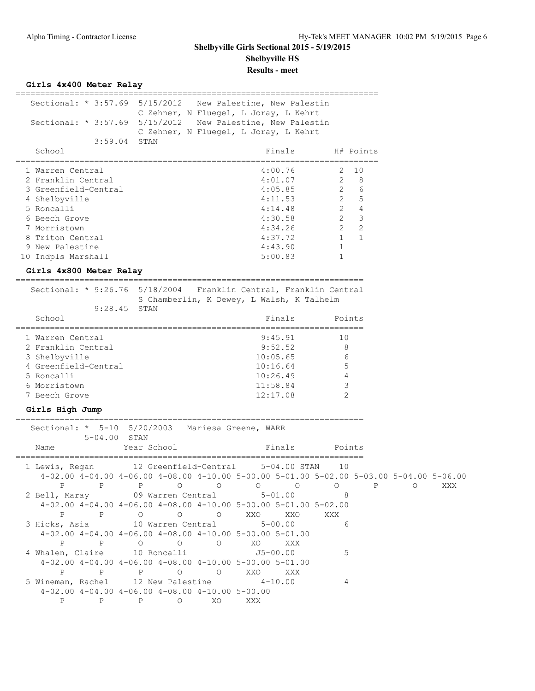| Sectional: * 3:57.69 5/15/2012                                    | C Zehner, N Fluegel, L Joray, L Kehrt                                                   | New Palestine, New Palestin |                                |         |     |
|-------------------------------------------------------------------|-----------------------------------------------------------------------------------------|-----------------------------|--------------------------------|---------|-----|
| Sectional: * 3:57.69 5/15/2012 New Palestine, New Palestin        |                                                                                         |                             |                                |         |     |
| $3:59.04$ STAN                                                    | C Zehner, N Fluegel, L Joray, L Kehrt                                                   |                             |                                |         |     |
| School                                                            |                                                                                         | Finals                      | H# Points                      |         |     |
| 1 Warren Central                                                  |                                                                                         | 4:00.76                     | 10<br>2.                       |         |     |
| 2 Franklin Central                                                |                                                                                         | 4:01.07                     | $2^{\circ}$<br>-8              |         |     |
| 3 Greenfield-Central                                              |                                                                                         | 4:05.85                     | $2^{\circ}$<br>6               |         |     |
| 4 Shelbyville                                                     |                                                                                         | 4:11.53                     | $2^{\circ}$<br>5               |         |     |
| 5 Roncalli                                                        |                                                                                         | 4:14.48                     | $2^{\circ}$<br>$\overline{4}$  |         |     |
| 6 Beech Grove                                                     |                                                                                         | 4:30.58                     | $2 \quad 3$                    |         |     |
| 7 Morristown                                                      |                                                                                         | 4:34.26                     | $\overline{2}$<br>$2^{\circ}$  |         |     |
| 8 Triton Central                                                  |                                                                                         | 4:37.72                     | $\mathbf{1}$<br>$\overline{1}$ |         |     |
| 9 New Palestine                                                   |                                                                                         | 4:43.90                     | 1                              |         |     |
| 10 Indpls Marshall                                                |                                                                                         | 5:00.83                     | 1                              |         |     |
| Girls 4x800 Meter Relay                                           |                                                                                         |                             |                                |         |     |
| Sectional: * 9:26.76 5/18/2004 Franklin Central, Franklin Central |                                                                                         |                             |                                |         |     |
|                                                                   | S Chamberlin, K Dewey, L Walsh, K Talhelm                                               |                             |                                |         |     |
| 9:28.45                                                           | STAN                                                                                    |                             |                                |         |     |
| School                                                            |                                                                                         | Finals                      | Points                         |         |     |
| 1 Warren Central                                                  |                                                                                         | 9:45.91                     | 10                             |         |     |
| 2 Franklin Central                                                |                                                                                         | 9:52.52                     | 8                              |         |     |
| 3 Shelbyville                                                     |                                                                                         | 10:05.65                    | 6                              |         |     |
| 4 Greenfield-Central                                              |                                                                                         | 10:16.64                    | 5                              |         |     |
| 5 Roncalli                                                        |                                                                                         | 10:26.49                    | 4                              |         |     |
| 6 Morristown                                                      |                                                                                         | 11:58.84                    | 3                              |         |     |
| 7 Beech Grove                                                     |                                                                                         | 12:17.08                    | $\overline{2}$                 |         |     |
| Girls High Jump                                                   |                                                                                         |                             |                                |         |     |
| Sectional: * 5-10 5/20/2003                                       |                                                                                         | Mariesa Greene, WARR        |                                |         |     |
| 5-04.00 STAN<br>Name                                              | Year School                                                                             | Finals                      | Points                         |         |     |
| =================================                                 |                                                                                         | -------------------------   |                                |         |     |
| 1 Lewis, Regan                                                    | 12 Greenfield-Central                                                                   | $5 - 04.00$ STAN            | 10                             |         |     |
|                                                                   | 4-02.00 4-04.00 4-06.00 4-08.00 4-10.00 5-00.00 5-01.00 5-02.00 5-03.00 5-04.00 5-06.00 |                             |                                | P       |     |
| 2 Bell, Maray 09 Warren Central 5-01.00 8                         | P P P O O O O O O                                                                       |                             |                                | $\circ$ | XXX |
|                                                                   | $4-02.00$ $4-04.00$ $4-06.00$ $4-08.00$ $4-10.00$ $5-00.00$ $5-01.00$ $5-02.00$         |                             |                                |         |     |
|                                                                   | PPPOOOOO XXOXXOXXX                                                                      |                             |                                |         |     |
| 3 Hicks, Asia 10 Warren Central 5-00.00                           |                                                                                         |                             | 6 <sup>6</sup>                 |         |     |
|                                                                   | $4-02.00$ $4-04.00$ $4-06.00$ $4-08.00$ $4-10.00$ $5-00.00$ $5-01.00$                   |                             |                                |         |     |
|                                                                   | P P O O O XO XXX                                                                        |                             |                                |         |     |
| 4 Whalen, Claire 10 Roncalli 55-00.00                             |                                                                                         |                             | 5                              |         |     |
|                                                                   | $4-02.00$ $4-04.00$ $4-06.00$ $4-08.00$ $4-10.00$ $5-00.00$ $5-01.00$                   |                             |                                |         |     |
|                                                                   | P P P O O XXO XXX                                                                       |                             |                                |         |     |
| 5 Wineman, Rachel 12 New Palestine 4-10.00                        |                                                                                         |                             | 4                              |         |     |
|                                                                   | $4-02.00$ $4-04.00$ $4-06.00$ $4-08.00$ $4-10.00$ $5-00.00$                             |                             |                                |         |     |
|                                                                   | P P P O XO XXX                                                                          |                             |                                |         |     |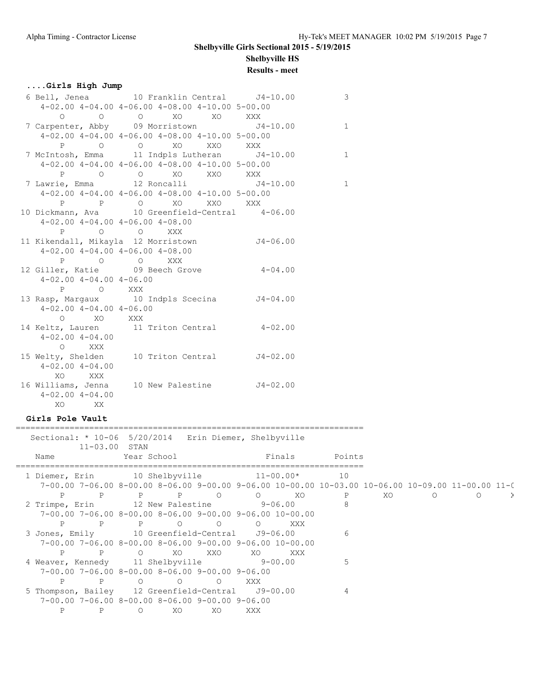### **....Girls High Jump**

|                                         | 6 Bell, Jenea 10 Franklin Central 14-10.00                                                                                                                                                       | $\mathcal{E}$ |
|-----------------------------------------|--------------------------------------------------------------------------------------------------------------------------------------------------------------------------------------------------|---------------|
|                                         | $4-02.00$ $4-04.00$ $4-06.00$ $4-08.00$ $4-10.00$ $5-00.00$                                                                                                                                      |               |
|                                         | $\begin{matrix}0\end{matrix}\qquad\qquad \begin{matrix}0\end{matrix}\qquad\qquad \begin{matrix}0\end{matrix}\qquad\qquad \begin{matrix}X0\end{matrix}\qquad\qquad \begin{matrix}XXX\end{matrix}$ |               |
|                                         | 7 Carpenter, Abby 09 Morristown 54-10.00                                                                                                                                                         | $\mathbf{1}$  |
|                                         | $4-02.00$ $4-04.00$ $4-06.00$ $4-08.00$ $4-10.00$ $5-00.00$                                                                                                                                      |               |
|                                         | P O O XO XXO XXX                                                                                                                                                                                 |               |
|                                         | 7 McIntosh, Emma 11 Indpls Lutheran J4-10.00                                                                                                                                                     | $\mathbf 1$   |
|                                         | $4-02.00$ $4-04.00$ $4-06.00$ $4-08.00$ $4-10.00$ $5-00.00$                                                                                                                                      |               |
|                                         | P O O XO XXO XXX                                                                                                                                                                                 |               |
|                                         | 7 Lawrie, Emma 12 Roncalli 14-10.00                                                                                                                                                              | $\mathbf{1}$  |
|                                         | $4-02.00$ $4-04.00$ $4-06.00$ $4-08.00$ $4-10.00$ $5-00.00$                                                                                                                                      |               |
|                                         | P P O XO XXO XXX                                                                                                                                                                                 |               |
|                                         | 10 Dickmann, Ava    10 Greenfield-Central    4-06.00                                                                                                                                             |               |
| $4-02.00$ $4-04.00$ $4-06.00$ $4-08.00$ |                                                                                                                                                                                                  |               |
|                                         | P O O XXX                                                                                                                                                                                        |               |
|                                         | 11 Kikendall, Mikayla 12 Morristown 54-06.00                                                                                                                                                     |               |
| $4-02.00$ $4-04.00$ $4-06.00$ $4-08.00$ |                                                                                                                                                                                                  |               |
| P O O XXX                               |                                                                                                                                                                                                  |               |
|                                         | 12 Giller, Katie 09 Beech Grove 4-04.00                                                                                                                                                          |               |
| $4-02.00$ $4-04.00$ $4-06.00$           |                                                                                                                                                                                                  |               |
| P O XXX                                 |                                                                                                                                                                                                  |               |
|                                         | 13 Rasp, Margaux 10 Indpls Scecina J4-04.00                                                                                                                                                      |               |
| $4-02.00$ $4-04.00$ $4-06.00$           |                                                                                                                                                                                                  |               |
| O XO XXX                                |                                                                                                                                                                                                  |               |
|                                         | 14 Keltz, Lauren 11 Triton Central 4-02.00                                                                                                                                                       |               |
| $4 - 02.00$ $4 - 04.00$                 |                                                                                                                                                                                                  |               |
| O XXX                                   |                                                                                                                                                                                                  |               |
|                                         | 15 Welty, Shelden 10 Triton Central 54-02.00                                                                                                                                                     |               |
| $4 - 02.00$ $4 - 04.00$                 |                                                                                                                                                                                                  |               |
| XO XXX                                  |                                                                                                                                                                                                  |               |
|                                         | 16 Williams, Jenna 10 New Palestine 54-02.00                                                                                                                                                     |               |
| $4 - 02.004 - - 04.00$                  |                                                                                                                                                                                                  |               |
| XO XX                                   |                                                                                                                                                                                                  |               |

### **Girls Pole Vault**

| Sectional: * 10-06 5/20/2014 Erin Diemer, Shelbyville | $11 - 03.00$ STAN |             |                                                             |        |        |                                                                        |                                                                                                   |    |         |         |  |
|-------------------------------------------------------|-------------------|-------------|-------------------------------------------------------------|--------|--------|------------------------------------------------------------------------|---------------------------------------------------------------------------------------------------|----|---------|---------|--|
| Name                                                  |                   | Year School |                                                             |        |        | <b>Example 19</b> Finals                                               | Points                                                                                            |    |         |         |  |
| 1 Diemer, Erin 10 Shelbyville 11-00.00*               |                   |             |                                                             |        |        |                                                                        | 10                                                                                                |    |         |         |  |
|                                                       |                   |             |                                                             |        |        |                                                                        | 7-00.00 7-06.00 8-00.00 8-06.00 9-00.00 9-06.00 10-00.00 10-03.00 10-06.00 10-09.00 11-00.00 11-0 |    |         |         |  |
| P                                                     |                   |             | P P P O O XO                                                |        |        |                                                                        | P                                                                                                 | XO | $\circ$ | $\circ$ |  |
| 2 Trimpe, Erin 12 New Palestine 9-06.00               |                   |             |                                                             |        |        |                                                                        |                                                                                                   |    |         |         |  |
|                                                       |                   |             |                                                             |        |        | $7-00.00$ $7-06.00$ $8-00.00$ $8-06.00$ $9-00.00$ $9-06.00$ $10-00.00$ |                                                                                                   |    |         |         |  |
|                                                       |                   |             | P P O O O                                                   |        |        | XXX                                                                    |                                                                                                   |    |         |         |  |
| 3 Jones, Emily 10 Greenfield-Central J9-06.00         |                   |             |                                                             |        |        |                                                                        | 6                                                                                                 |    |         |         |  |
|                                                       |                   |             |                                                             |        |        | $7-00.00$ $7-06.00$ $8-00.00$ $8-06.00$ $9-00.00$ $9-06.00$ $10-00.00$ |                                                                                                   |    |         |         |  |
| P                                                     |                   | P O         |                                                             | XO XXO | XO XXX |                                                                        |                                                                                                   |    |         |         |  |
| 4 Weaver, Kennedy 11 Shelbyville 9-00.00              |                   |             |                                                             |        |        |                                                                        | .5                                                                                                |    |         |         |  |
|                                                       |                   |             | $7-00.00$ $7-06.00$ $8-00.00$ $8-06.00$ $9-00.00$ $9-06.00$ |        |        |                                                                        |                                                                                                   |    |         |         |  |
| P                                                     |                   |             | P 0 0 0                                                     |        | XXX    |                                                                        |                                                                                                   |    |         |         |  |
| 5 Thompson, Bailey 12 Greenfield-Central J9-00.00     |                   |             |                                                             |        |        |                                                                        | 4                                                                                                 |    |         |         |  |
|                                                       |                   |             | $7-00.00$ $7-06.00$ $8-00.00$ $8-06.00$ $9-00.00$ $9-06.00$ |        |        |                                                                        |                                                                                                   |    |         |         |  |
|                                                       | Ρ                 | $\Omega$    | XO.                                                         | XO     | XXX    |                                                                        |                                                                                                   |    |         |         |  |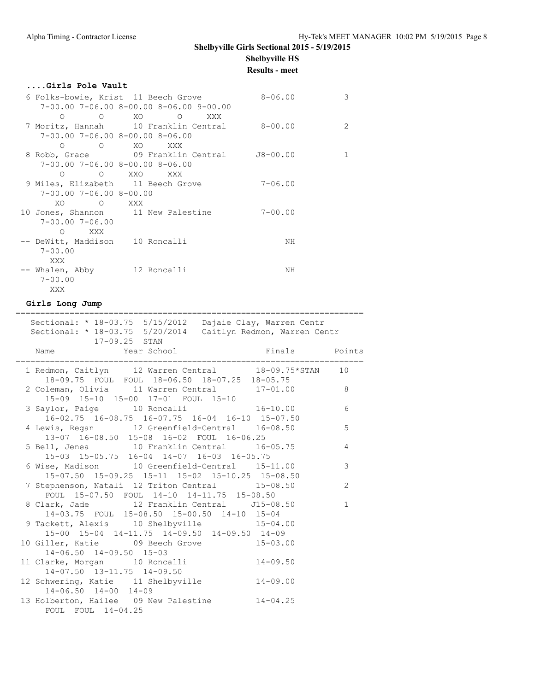#### **....Girls Pole Vault**

|                                    | 6 Folks-bowie, Krist 11 Beech Grove               | $8 - 06.00$ | 3  |
|------------------------------------|---------------------------------------------------|-------------|----|
|                                    | $7-00.00$ $7-06.00$ $8-00.00$ $8-06.00$ $9-00.00$ |             |    |
| $\overline{O}$<br>∩                | XO O XXX                                          |             |    |
|                                    | 7 Moritz, Hannah 10 Franklin Central 8-00.00      |             | 2  |
|                                    | $7-00.00$ $7-06.00$ $8-00.00$ $8-06.00$           |             |    |
| $\Omega$                           | O XO XXX                                          |             |    |
|                                    | 8 Robb, Grace 09 Franklin Central                 | J8-00.00    | 1. |
|                                    | $7-00.00$ $7-06.00$ $8-00.00$ $8-06.00$           |             |    |
| $\Omega$                           | O XXO XXX                                         |             |    |
|                                    | 9 Miles, Elizabeth 11 Beech Grove                 | $7 - 06.00$ |    |
| $7-00.00$ $7-06.00$ $8-00.00$      |                                                   |             |    |
| XO.<br>and the contract of the XXX |                                                   |             |    |
|                                    | 10 Jones, Shannon 11 New Palestine                | $7 - 00.00$ |    |
| $7 - 00.00$ $7 - 06.00$            |                                                   |             |    |
| XXX X<br>$\Omega$                  |                                                   |             |    |
| -- DeWitt, Maddison    10 Roncalli |                                                   | NH          |    |
| $7 - 00.00$                        |                                                   |             |    |
| XXX                                |                                                   |             |    |
| -- Whalen, Abby 12 Roncalli        |                                                   | NH          |    |
| $7 - 00.00$                        |                                                   |             |    |
| XXX                                |                                                   |             |    |

#### **Girls Long Jump**

======================================================================= Sectional: \* 18-03.75 5/15/2012 Dajaie Clay, Warren Centr Sectional: \* 18-03.75 5/20/2014 Caitlyn Redmon, Warren Centr 17-09.25 STAN Name Year School **Finals** Points ======================================================================= 1 Redmon, Caitlyn 12 Warren Central 18-09.75\*STAN 10 18-09.75 FOUL FOUL 18-06.50 18-07.25 18-05.75 2 Coleman, Olivia 11 Warren Central 17-01.00 8 15-09 15-10 15-00 17-01 FOUL 15-10 3 Saylor, Paige 10 Roncalli 16-10.00 6 16-02.75 16-08.75 16-07.75 16-04 16-10 15-07.50 4 Lewis, Regan 12 Greenfield-Central 16-08.50 5 13-07 16-08.50 15-08 16-02 FOUL 16-06.25 5 Bell, Jenea 10 Franklin Central 16-05.75 4 15-03 15-05.75 16-04 14-07 16-03 16-05.75 6 Wise, Madison 10 Greenfield-Central 15-11.00 3 15-07.50 15-09.25 15-11 15-02 15-10.25 15-08.50 7 Stephenson, Natali 12 Triton Central 15-08.50 2 FOUL 15-07.50 FOUL 14-10 14-11.75 15-08.50 8 Clark, Jade 12 Franklin Central J15-08.50 1 14-03.75 FOUL 15-08.50 15-00.50 14-10 15-04 9 Tackett, Alexis 10 Shelbyville 15-04.00 15-00 15-04 14-11.75 14-09.50 14-09.50 14-09 10 Giller, Katie 09 Beech Grove 15-03.00 14-06.50 14-09.50 15-03 11 Clarke, Morgan 10 Roncalli 14-09.50 14-07.50 13-11.75 14-09.50 12 Schwering, Katie 11 Shelbyville 14-09.00 14-06.50 14-00 14-09 13 Holberton, Hailee 09 New Palestine 14-04.25 FOUL FOUL 14-04.25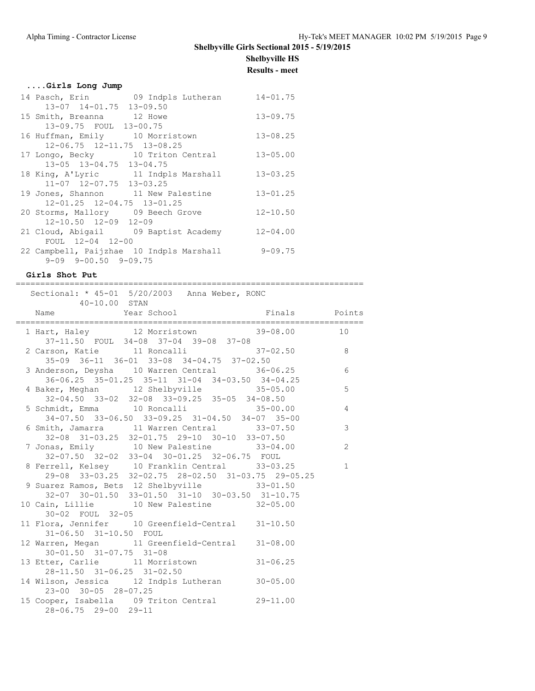# **Shelbyville Girls Sectional 2015 - 5/19/2015**

**Shelbyville HS Results - meet**

### **....Girls Long Jump**

| 14 Pasch, Erin 09 Indpls Lutheran        | $14 - 01.75$ |
|------------------------------------------|--------------|
| 13-07 14-01.75 13-09.50                  |              |
| 15 Smith, Breanna 12 Howe                | $13 - 09.75$ |
| 13-09.75 FOUL 13-00.75                   |              |
| 16 Huffman, Emily 10 Morristown          | $13 - 08.25$ |
| 12-06.75 12-11.75 13-08.25               |              |
| 17 Longo, Becky 10 Triton Central        | $13 - 05.00$ |
| 13-05 13-04.75 13-04.75                  |              |
| 18 King, A'Lyric 11 Indpls Marshall      | $13 - 03.25$ |
| 11-07 12-07.75 13-03.25                  |              |
| 19 Jones, Shannon 11 New Palestine       | $13 - 01.25$ |
| 12-01.25 12-04.75 13-01.25               |              |
| 20 Storms, Mallory 09 Beech Grove        | $12 - 10.50$ |
| $12 - 10.50$ $12 - 09$ $12 - 09$         |              |
| 21 Cloud, Abigail 09 Baptist Academy     | $12 - 04.00$ |
| FOUL 12-04 12-00                         |              |
| 22 Campbell, Paijzhae 10 Indpls Marshall | $9 - 09.75$  |
| $9-09$ $9-00.50$ $9-09.75$               |              |

#### **Girls Shot Put**

| Sectional: * 45-01 5/20/2003 Anna Weber, RONC<br>$40 - 10.00$ STAN                                    |                |
|-------------------------------------------------------------------------------------------------------|----------------|
| Name Year School Finals Points                                                                        |                |
| 1 Hart, Haley 12 Morristown 39-08.00<br>37-11.50 FOUL 34-08 37-04 39-08 37-08                         | 10             |
| 2 Carson, Katie 11 Roncalli 37-02.50 8<br>35-09 36-11 36-01 33-08 34-04.75 37-02.50                   |                |
| 3 Anderson, Deysha 10 Warren Central 36-06.25 6<br>36-06.25 35-01.25 35-11 31-04 34-03.50 34-04.25    |                |
| 4 Baker, Meghan 12 Shelbyville 35-05.00 5<br>$32-04.50$ $33-02$ $32-08$ $33-09.25$ $35-05$ $34-08.50$ |                |
| 5 Schmidt, Emma 10 Roncalli 35-00.00<br>34-07.50 33-06.50 33-09.25 31-04.50 34-07 35-00               | $\overline{4}$ |
| 6 Smith, Jamarra 11 Warren Central 33-07.50<br>32-08 31-03.25 32-01.75 29-10 30-10 33-07.50           | 3              |
| 7 Jonas, Emily 10 New Palestine 33-04.00<br>32-07.50 32-02 33-04 30-01.25 32-06.75 FOUL               | 2              |
| 8 Ferrell, Kelsey 10 Franklin Central 33-03.25<br>29-08 33-03.25 32-02.75 28-02.50 31-03.75 29-05.25  | $\mathbf{1}$   |
| 9 Suarez Ramos, Bets 12 Shelbyville 33-01.50<br>32-07 30-01.50 33-01.50 31-10 30-03.50 31-10.75       |                |
| 10 Cain, Lillie 10 New Palestine 32-05.00<br>30-02 FOUL 32-05                                         |                |
| 11 Flora, Jennifer 10 Greenfield-Central 31-10.50<br>31-06.50 31-10.50 FOUL                           |                |
| 12 Warren, Megan 11 Greenfield-Central 31-08.00<br>$30 - 01.50$ $31 - 07.75$ $31 - 08$                |                |
| 13 Etter, Carlie 11 Morristown 31-06.25<br>28-11.50 31-06.25 31-02.50                                 |                |
| 14 Wilson, Jessica 12 Indpls Lutheran 30-05.00<br>23-00 30-05 28-07.25                                |                |
| 15 Cooper, Isabella 09 Triton Central 29-11.00<br>28-06.75 29-00 29-11                                |                |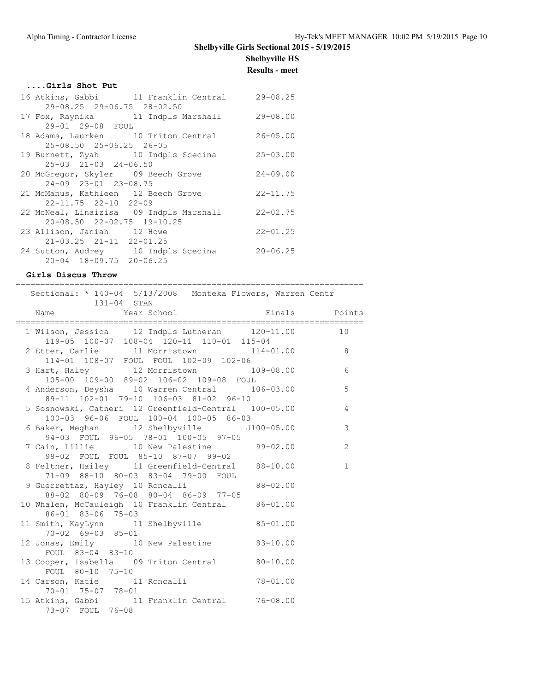### **Shelbyville Girls Sectional 2015 - 5/19/2015**

# **Shelbyville HS**

**Results - meet**

|  |  | Girls Shot Put |  |
|--|--|----------------|--|
|  |  |                |  |

|                                     | 16 Atkins, Gabbi 11 Franklin Central    | $29 - 08.25$ |
|-------------------------------------|-----------------------------------------|--------------|
| 29-08.25 29-06.75 28-02.50          |                                         |              |
|                                     | 17 Fox, Raynika 11 Indpls Marshall      | $29 - 08.00$ |
| 29-01 29-08 FOUL                    |                                         |              |
|                                     | 18 Adams, Laurken 10 Triton Central     | $26 - 05.00$ |
| 25-08.50 25-06.25 26-05             |                                         |              |
|                                     | 19 Burnett, Zyah 10 Indpls Scecina      | $25 - 03.00$ |
| $25-03$ $21-03$ $24-06.50$          |                                         |              |
| 20 McGregor, Skyler 09 Beech Grove  |                                         | $24 - 09.00$ |
| 24-09 23-01 23-08.75                |                                         |              |
| 21 McManus, Kathleen 12 Beech Grove |                                         | $22 - 11.75$ |
| $22 - 11.75$ $22 - 10$ $22 - 09$    |                                         |              |
|                                     | 22 McNeal, Linaizisa 09 Indpls Marshall | $22 - 02.75$ |
| 20-08.50 22-02.75 19-10.25          |                                         |              |
| 23 Allison, Janiah 12 Howe          |                                         | $22 - 01.25$ |
| $21-03.25$ $21-11$ $22-01.25$       |                                         |              |
|                                     | 24 Sutton, Audrey 10 Indpls Scecina     | $20 - 06.25$ |
| $20 - 04$ 18-09.75 20-06.25         |                                         |              |

#### **Girls Discus Throw**

=======================================================================

| Sectional: * 140-04 5/13/2008 Monteka Flowers, Warren Centr<br>131-04 STAN                                                      |  |              |
|---------------------------------------------------------------------------------------------------------------------------------|--|--------------|
| Name The Year School Charles Finals Points                                                                                      |  |              |
| 1 Wilson, Jessica 12 Indpls Lutheran 120-11.00 10<br>119-05 100-07 108-04 120-11 110-01 115-04                                  |  |              |
| 119-00 100-07 108-04 120-11 110-01 115-04<br>2 Etter, Carlie 11 Morristown 114-01.00 8<br>114-01 108-07 FOUL FOUL 102-09 102-06 |  |              |
| 3 Hart, Haley 12 Morristown 109-08.00 6<br>105-00 109-00 89-02 106-02 109-08 FOUL                                               |  |              |
| 4 Anderson, Deysha 10 Warren Central 106-03.00 5<br>89-11 102-01 79-10 106-03 81-02 96-10                                       |  |              |
| 5 Sosnowski, Catheri 12 Greenfield-Central 100-05.00 4<br>100-03 96-06 FOUL 100-04 100-05 86-03                                 |  |              |
| 6 Baker, Meghan 12 Shelbyville 5100-05.00 3                                                                                     |  |              |
| 94-03 FOUL 96-05 78-01 100-05 97-05<br>7 Cain, Lillie 10 New Palestine 99-02.00<br>98-02 FOUL FOUL 85-10 87-07 99-02            |  | 2            |
| 8 Feltner, Hailey 11 Greenfield-Central 88-10.00                                                                                |  | $\mathbf{1}$ |
| 71-09 88-10 80-03 83-04 79-00 FOUL<br>9 Guerrettaz, Hayley 10 Roncalli 88-02.00<br>88-02 80-09 76-08 80-04 86-09 77-05          |  |              |
| 10 Whalen, McCauleigh 10 Franklin Central 86-01.00<br>86-01 83-06 75-03                                                         |  |              |
| 11 Smith, KayLynn 11 Shelbyville 85-01.00<br>70-02 69-03 85-01                                                                  |  |              |
| 12 Jonas, Emily 10 New Palestine 83-10.00<br>FOUL 83-04 83-10                                                                   |  |              |
| 13 Cooper, Isabella 09 Triton Central 80-10.00<br>FOUL 80-10 75-10                                                              |  |              |
| 14 Carson, Katie $\begin{array}{ccc} 11 & \text{Roncall} & 78-01.00 \\ 70-01 & 75-02 & 21 \end{array}$<br>70-01 75-07 78-01     |  |              |
| 15 Atkins, Gabbi 11 Franklin Central 76-08.00<br>73-07 FOUL 76-08                                                               |  |              |